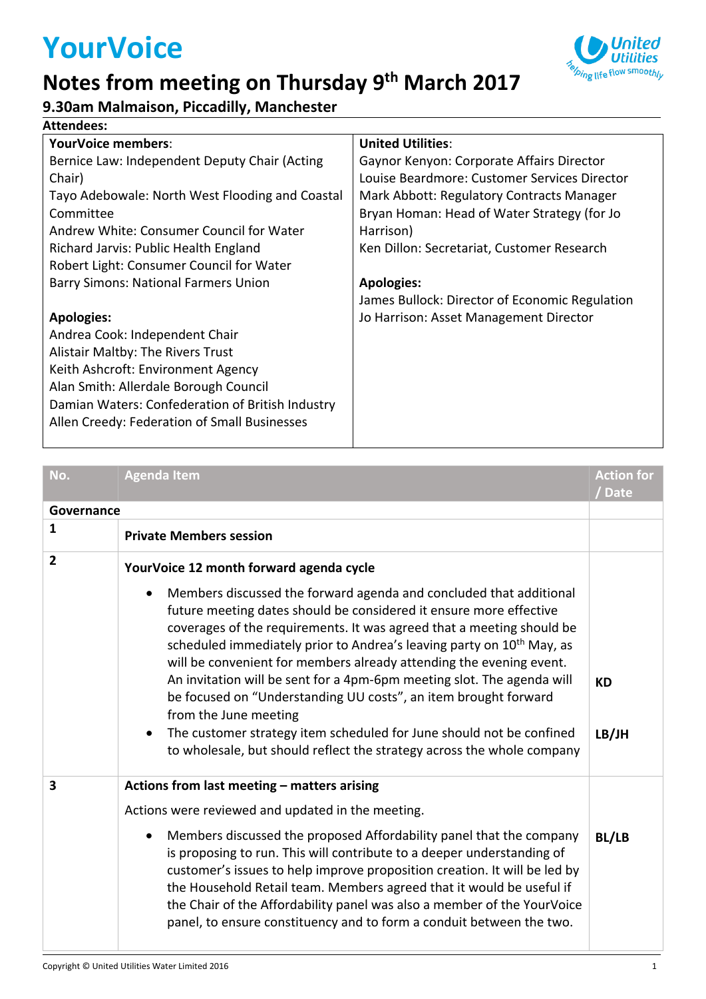# **YourVoice**

### **Notes from meeting on Thursday 9 th March 2017**



#### **9.30am Malmaison, Piccadilly, Manchester**

| <b>Attendees:</b>                                                                                                                                                                                                                                                           |                                                |  |  |  |  |  |
|-----------------------------------------------------------------------------------------------------------------------------------------------------------------------------------------------------------------------------------------------------------------------------|------------------------------------------------|--|--|--|--|--|
| <b>YourVoice members:</b>                                                                                                                                                                                                                                                   | <b>United Utilities:</b>                       |  |  |  |  |  |
| Bernice Law: Independent Deputy Chair (Acting                                                                                                                                                                                                                               | Gaynor Kenyon: Corporate Affairs Director      |  |  |  |  |  |
| Chair)                                                                                                                                                                                                                                                                      | Louise Beardmore: Customer Services Director   |  |  |  |  |  |
| Tayo Adebowale: North West Flooding and Coastal                                                                                                                                                                                                                             | Mark Abbott: Regulatory Contracts Manager      |  |  |  |  |  |
| Committee                                                                                                                                                                                                                                                                   | Bryan Homan: Head of Water Strategy (for Jo    |  |  |  |  |  |
| Andrew White: Consumer Council for Water                                                                                                                                                                                                                                    | Harrison)                                      |  |  |  |  |  |
| Richard Jarvis: Public Health England                                                                                                                                                                                                                                       | Ken Dillon: Secretariat, Customer Research     |  |  |  |  |  |
| Robert Light: Consumer Council for Water                                                                                                                                                                                                                                    | <b>Apologies:</b>                              |  |  |  |  |  |
| <b>Barry Simons: National Farmers Union</b>                                                                                                                                                                                                                                 | James Bullock: Director of Economic Regulation |  |  |  |  |  |
| <b>Apologies:</b><br>Andrea Cook: Independent Chair<br>Alistair Maltby: The Rivers Trust<br>Keith Ashcroft: Environment Agency<br>Alan Smith: Allerdale Borough Council<br>Damian Waters: Confederation of British Industry<br>Allen Creedy: Federation of Small Businesses | Jo Harrison: Asset Management Director         |  |  |  |  |  |

| No.            | <b>Agenda Item</b>                                                                                                                                                                                                                                                                                                                                                                                                                                                                                                                                                                                                                                                                                                              | <b>Action for</b><br>/ Date |
|----------------|---------------------------------------------------------------------------------------------------------------------------------------------------------------------------------------------------------------------------------------------------------------------------------------------------------------------------------------------------------------------------------------------------------------------------------------------------------------------------------------------------------------------------------------------------------------------------------------------------------------------------------------------------------------------------------------------------------------------------------|-----------------------------|
| Governance     |                                                                                                                                                                                                                                                                                                                                                                                                                                                                                                                                                                                                                                                                                                                                 |                             |
| $\mathbf{1}$   | <b>Private Members session</b>                                                                                                                                                                                                                                                                                                                                                                                                                                                                                                                                                                                                                                                                                                  |                             |
| $\overline{2}$ | YourVoice 12 month forward agenda cycle                                                                                                                                                                                                                                                                                                                                                                                                                                                                                                                                                                                                                                                                                         |                             |
|                | Members discussed the forward agenda and concluded that additional<br>$\bullet$<br>future meeting dates should be considered it ensure more effective<br>coverages of the requirements. It was agreed that a meeting should be<br>scheduled immediately prior to Andrea's leaving party on 10 <sup>th</sup> May, as<br>will be convenient for members already attending the evening event.<br>An invitation will be sent for a 4pm-6pm meeting slot. The agenda will<br>be focused on "Understanding UU costs", an item brought forward<br>from the June meeting<br>The customer strategy item scheduled for June should not be confined<br>$\bullet$<br>to wholesale, but should reflect the strategy across the whole company | <b>KD</b><br>LB/JH          |
| 3              | Actions from last meeting - matters arising                                                                                                                                                                                                                                                                                                                                                                                                                                                                                                                                                                                                                                                                                     |                             |
|                | Actions were reviewed and updated in the meeting.                                                                                                                                                                                                                                                                                                                                                                                                                                                                                                                                                                                                                                                                               |                             |
|                | Members discussed the proposed Affordability panel that the company<br>$\bullet$<br>is proposing to run. This will contribute to a deeper understanding of<br>customer's issues to help improve proposition creation. It will be led by<br>the Household Retail team. Members agreed that it would be useful if<br>the Chair of the Affordability panel was also a member of the YourVoice<br>panel, to ensure constituency and to form a conduit between the two.                                                                                                                                                                                                                                                              | <b>BL/LB</b>                |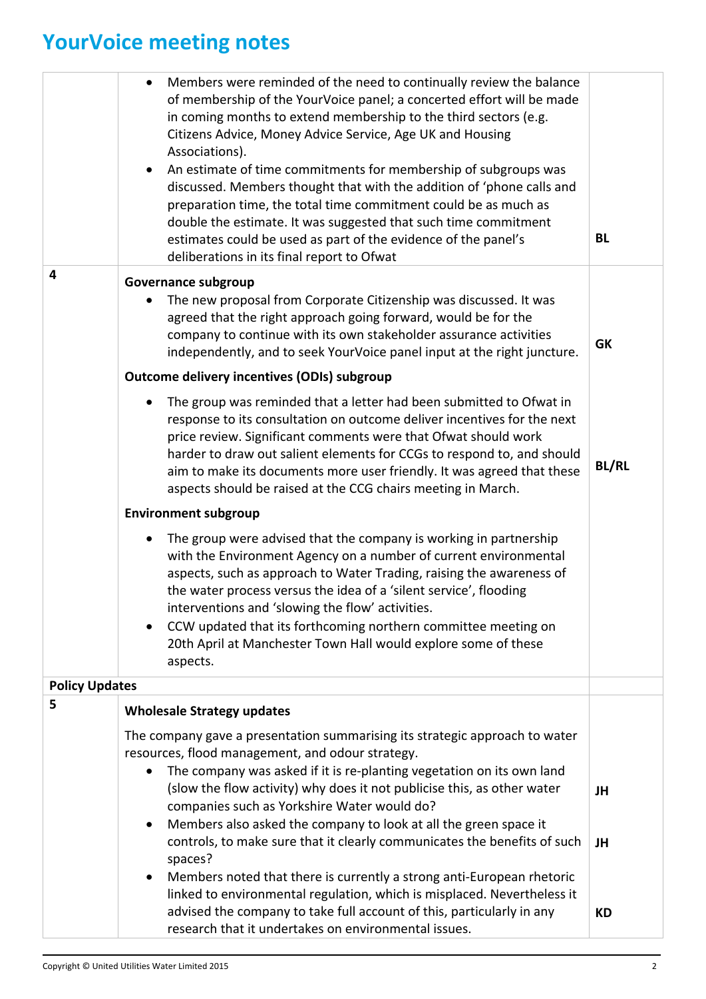# **YourVoice meeting notes**

|                       |                         | Members were reminded of the need to continually review the balance<br>of membership of the YourVoice panel; a concerted effort will be made<br>in coming months to extend membership to the third sectors (e.g.<br>Citizens Advice, Money Advice Service, Age UK and Housing<br>Associations).<br>An estimate of time commitments for membership of subgroups was<br>discussed. Members thought that with the addition of 'phone calls and<br>preparation time, the total time commitment could be as much as<br>double the estimate. It was suggested that such time commitment<br>estimates could be used as part of the evidence of the panel's<br>deliberations in its final report to Ofwat | <b>BL</b>    |
|-----------------------|-------------------------|---------------------------------------------------------------------------------------------------------------------------------------------------------------------------------------------------------------------------------------------------------------------------------------------------------------------------------------------------------------------------------------------------------------------------------------------------------------------------------------------------------------------------------------------------------------------------------------------------------------------------------------------------------------------------------------------------|--------------|
|                       | $\overline{\mathbf{4}}$ | Governance subgroup<br>The new proposal from Corporate Citizenship was discussed. It was<br>agreed that the right approach going forward, would be for the<br>company to continue with its own stakeholder assurance activities<br>independently, and to seek YourVoice panel input at the right juncture.                                                                                                                                                                                                                                                                                                                                                                                        | <b>GK</b>    |
|                       |                         | <b>Outcome delivery incentives (ODIs) subgroup</b>                                                                                                                                                                                                                                                                                                                                                                                                                                                                                                                                                                                                                                                |              |
|                       |                         | The group was reminded that a letter had been submitted to Ofwat in<br>response to its consultation on outcome deliver incentives for the next<br>price review. Significant comments were that Ofwat should work<br>harder to draw out salient elements for CCGs to respond to, and should<br>aim to make its documents more user friendly. It was agreed that these<br>aspects should be raised at the CCG chairs meeting in March.                                                                                                                                                                                                                                                              | <b>BL/RL</b> |
|                       |                         | <b>Environment subgroup</b>                                                                                                                                                                                                                                                                                                                                                                                                                                                                                                                                                                                                                                                                       |              |
|                       |                         | The group were advised that the company is working in partnership<br>$\bullet$<br>with the Environment Agency on a number of current environmental<br>aspects, such as approach to Water Trading, raising the awareness of<br>the water process versus the idea of a 'silent service', flooding<br>interventions and 'slowing the flow' activities.<br>CCW updated that its forthcoming northern committee meeting on<br>20th April at Manchester Town Hall would explore some of these<br>aspects.                                                                                                                                                                                               |              |
| <b>Policy Updates</b> |                         |                                                                                                                                                                                                                                                                                                                                                                                                                                                                                                                                                                                                                                                                                                   |              |
|                       | 5                       | <b>Wholesale Strategy updates</b>                                                                                                                                                                                                                                                                                                                                                                                                                                                                                                                                                                                                                                                                 |              |
|                       |                         | The company gave a presentation summarising its strategic approach to water<br>resources, flood management, and odour strategy.<br>The company was asked if it is re-planting vegetation on its own land                                                                                                                                                                                                                                                                                                                                                                                                                                                                                          |              |
|                       |                         | (slow the flow activity) why does it not publicise this, as other water<br>companies such as Yorkshire Water would do?<br>Members also asked the company to look at all the green space it                                                                                                                                                                                                                                                                                                                                                                                                                                                                                                        | JH           |
|                       |                         | controls, to make sure that it clearly communicates the benefits of such<br>spaces?                                                                                                                                                                                                                                                                                                                                                                                                                                                                                                                                                                                                               | JH           |
|                       |                         | Members noted that there is currently a strong anti-European rhetoric<br>linked to environmental regulation, which is misplaced. Nevertheless it<br>advised the company to take full account of this, particularly in any                                                                                                                                                                                                                                                                                                                                                                                                                                                                         | КD           |
|                       |                         | research that it undertakes on environmental issues.                                                                                                                                                                                                                                                                                                                                                                                                                                                                                                                                                                                                                                              |              |